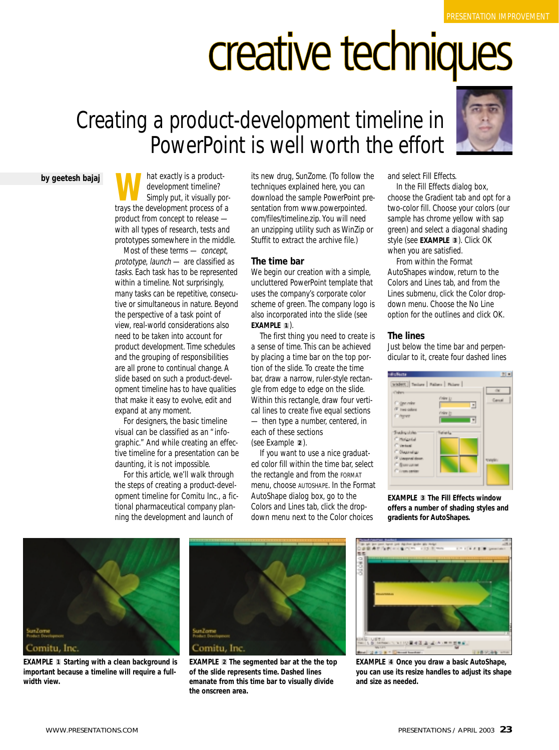# creative techniques

## Creating a product-development timeline in PowerPoint is well worth the effort



**what exactly is a product-**<br>development timeline?<br>simply put, it visually por-<br>travs the development process of a development timeline? trays the development process of a product from concept to release with all types of research, tests and prototypes somewhere in the middle.

Most of these terms — concept, prototype, launch — are classified as tasks. Each task has to be represented within a timeline. Not surprisingly, many tasks can be repetitive, consecutive or simultaneous in nature. Beyond the perspective of a task point of view, real-world considerations also need to be taken into account for product development. Time schedules and the grouping of responsibilities are all prone to continual change. A slide based on such a product-development timeline has to have qualities that make it easy to evolve, edit and expand at any moment.

For designers, the basic timeline visual can be classified as an "infographic." And while creating an effective timeline for a presentation can be daunting, it is not impossible.

For this article, we'll walk through the steps of creating a product-development timeline for Comitu Inc., a fictional pharmaceutical company planning the development and launch of

its new drug, SunZome. (To follow the techniques explained here, you can download the sample PowerPoint presentation from www.powerpointed. com/files/timeline.zip. You will need an unzipping utility such as WinZip or Stuffit to extract the archive file.)

### **The time bar**

We begin our creation with a simple, uncluttered PowerPoint template that uses the company's corporate color scheme of green. The company logo is also incorporated into the slide (see **EXAMPLE** ). **1**

The first thing you need to create is a sense of time. This can be achieved by placing a time bar on the top portion of the slide. To create the time bar, draw a narrow, ruler-style rectangle from edge to edge on the slide. Within this rectangle, draw four vertical lines to create five equal sections — then type a number, centered, in each of these sections (see Example 2).

If you want to use a nice graduated color fill within the time bar, select the rectangle and from the FORMAT menu, choose AUTOSHAPE. In the Format AutoShape dialog box, go to the Colors and Lines tab, click the dropdown menu next to the Color choices



and select Fill Effects.

In the Fill Effects dialog box, choose the Gradient tab and opt for a two-color fill. Choose your colors (our sample has chrome yellow with sap green) and select a diagonal shading style (see EXAMPLE 3). Click OK when you are satisfied.

From within the Format AutoShapes window, return to the Colors and Lines tab, and from the Lines submenu, click the Color dropdown menu. Choose the No Line option for the outlines and click OK.

### **The lines**

Just below the time bar and perpendicular to it, create four dashed lines



**EXAMPLE The Fill Effects window 3offers a number of shading styles and gradients for AutoShapes.**



**EXAMPLE Starting with a clean background is important because a timeline will require a fullwidth view.**



**EXAMPLE 2** The segmented bar at the the top **of the slide represents time. Dashed lines emanate from this time bar to visually divide the onscreen area.**



**2** The segmented bar at the the top **EXAMPLE** 4 Once you draw a basic AutoShape, **you can use its resize handles to adjust its shape and size as needed.**